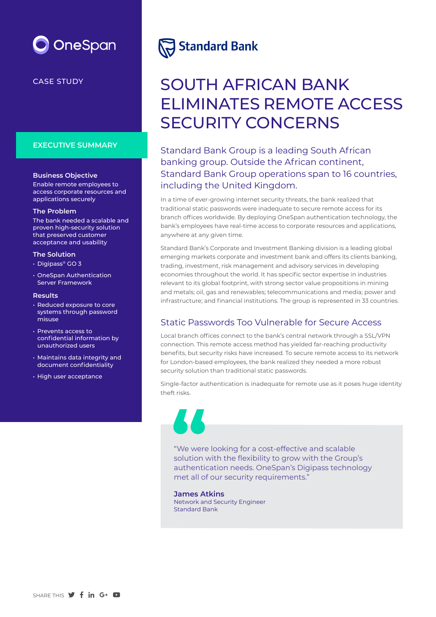

### CASE STUDY

#### **EXECUTIVE SUMMARY**

#### **Business Objective**

Enable remote employees to access corporate resources and applications securely

#### **The Problem**

The bank needed a scalable and proven high-security solution that preserved customer acceptance and usability

#### **The Solution**

- Digipass® GO 3
- OneSpan Authentication Server Framework

#### **Results**

- Reduced exposure to core systems through password misuse
- Prevents access to confidential information by unauthorized users
- Maintains data integrity and document confidentiality
- High user acceptance

# **Standard Bank**

# SOUTH AFRICAN BANK ELIMINATES REMOTE ACCESS SECURITY CONCERNS

Standard Bank Group is a leading South African banking group. Outside the African continent, Standard Bank Group operations span to 16 countries, including the United Kingdom.

In a time of ever-growing internet security threats, the bank realized that traditional static passwords were inadequate to secure remote access for its branch offices worldwide. By deploying OneSpan authentication technology, the bank's employees have real-time access to corporate resources and applications, anywhere at any given time.

Standard Bank's Corporate and Investment Banking division is a leading global emerging markets corporate and investment bank and offers its clients banking, trading, investment, risk management and advisory services in developing economies throughout the world. It has specific sector expertise in industries relevant to its global footprint, with strong sector value propositions in mining and metals; oil, gas and renewables; telecommunications and media; power and infrastructure; and financial institutions. The group is represented in 33 countries.

## Static Passwords Too Vulnerable for Secure Access

Local branch offices connect to the bank's central network through a SSL/VPN connection. This remote access method has yielded far-reaching productivity benefits, but security risks have increased. To secure remote access to its network for London-based employees, the bank realized they needed a more robust security solution than traditional static passwords.

Single-factor authentication is inadequate for remote use as it poses huge identity theft risks.



"We were looking for a cost-effective and scalable solution with the flexibility to grow with the Group's authentication needs. OneSpan's Digipass technology met all of our security requirements."

**James Atkins** Network and Security Engineer Standard Bank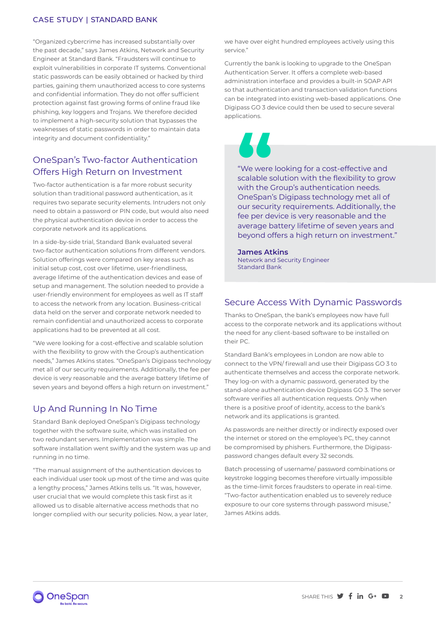#### CASE STUDY | STANDARD BANK

"Organized cybercrime has increased substantially over the past decade," says James Atkins, Network and Security Engineer at Standard Bank. "Fraudsters will continue to exploit vulnerabilities in corporate IT systems. Conventional static passwords can be easily obtained or hacked by third parties, gaining them unauthorized access to core systems and confidential information. They do not offer sufficient protection against fast growing forms of online fraud like phishing, key loggers and Trojans. We therefore decided to implement a high-security solution that bypasses the weaknesses of static passwords in order to maintain data integrity and document confidentiality."

# OneSpan's Two-factor Authentication Offers High Return on Investment

Two-factor authentication is a far more robust security solution than traditional password authentication, as it requires two separate security elements. Intruders not only need to obtain a password or PIN code, but would also need the physical authentication device in order to access the corporate network and its applications.

In a side-by-side trial, Standard Bank evaluated several two-factor authentication solutions from different vendors. Solution offerings were compared on key areas such as initial setup cost, cost over lifetime, user-friendliness, average lifetime of the authentication devices and ease of setup and management. The solution needed to provide a user-friendly environment for employees as well as IT staff to access the network from any location. Business-critical data held on the server and corporate network needed to remain confidential and unauthorized access to corporate applications had to be prevented at all cost.

"We were looking for a cost-effective and scalable solution with the flexibility to grow with the Group's authentication needs," James Atkins states. "OneSpan's Digipass technology met all of our security requirements. Additionally, the fee per device is very reasonable and the average battery lifetime of seven years and beyond offers a high return on investment."

# Up And Running In No Time

Standard Bank deployed OneSpan's Digipass technology together with the software suite, which was installed on two redundant servers. Implementation was simple. The software installation went swiftly and the system was up and running in no time.

"The manual assignment of the authentication devices to each individual user took up most of the time and was quite a lengthy process," James Atkins tells us. "It was, however, user crucial that we would complete this task first as it allowed us to disable alternative access methods that no longer complied with our security policies. Now, a year later,

we have over eight hundred employees actively using this service."

Currently the bank is looking to upgrade to the OneSpan Authentication Server. It offers a complete web-based administration interface and provides a built-in SOAP API so that authentication and transaction validation functions can be integrated into existing web-based applications. One Digipass GO 3 device could then be used to secure several applications.



"We were looking for a cost-effective and scalable solution with the flexibility to grow with the Group's authentication needs. OneSpan's Digipass technology met all of our security requirements. Additionally, the fee per device is very reasonable and the average battery lifetime of seven years and beyond offers a high return on investment." **CONSTRANT WE WERE SCALE SWITH THE CONSTRANT** 

#### **James Atkins** Network and Security Engineer Standard Bank

### Secure Access With Dynamic Passwords

Thanks to OneSpan, the bank's employees now have full access to the corporate network and its applications without the need for any client-based software to be installed on their PC.

Standard Bank's employees in London are now able to connect to the VPN/ firewall and use their Digipass GO 3 to authenticate themselves and access the corporate network. They log-on with a dynamic password, generated by the stand-alone authentication device Digipass GO 3. The server software verifies all authentication requests. Only when there is a positive proof of identity, access to the bank's network and its applications is granted.

As passwords are neither directly or indirectly exposed over the internet or stored on the employee's PC, they cannot be compromised by phishers. Furthermore, the Digipasspassword changes default every 32 seconds.

Batch processing of username/ password combinations or keystroke logging becomes therefore virtually impossible as the time-limit forces fraudsters to operate in real-time. "Two-factor authentication enabled us to severely reduce exposure to our core systems through password misuse," James Atkins adds.